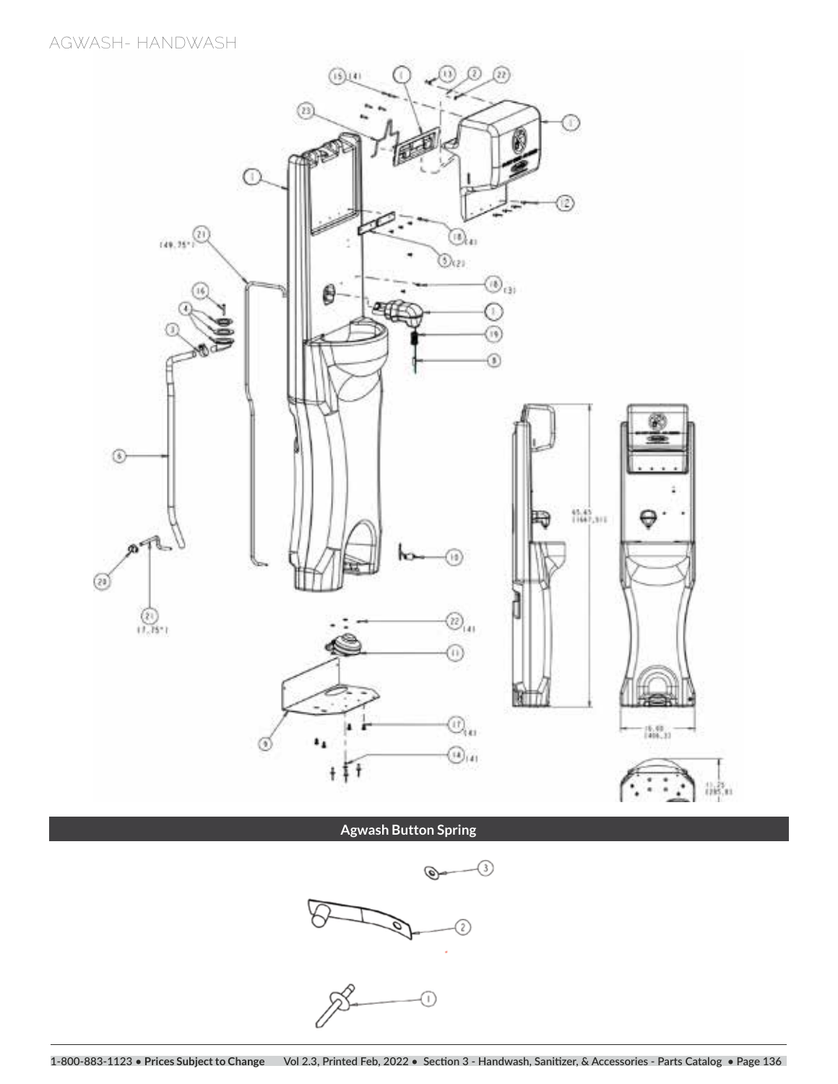**AGWASH- HANDWASH**



**Agwash Button Spring**